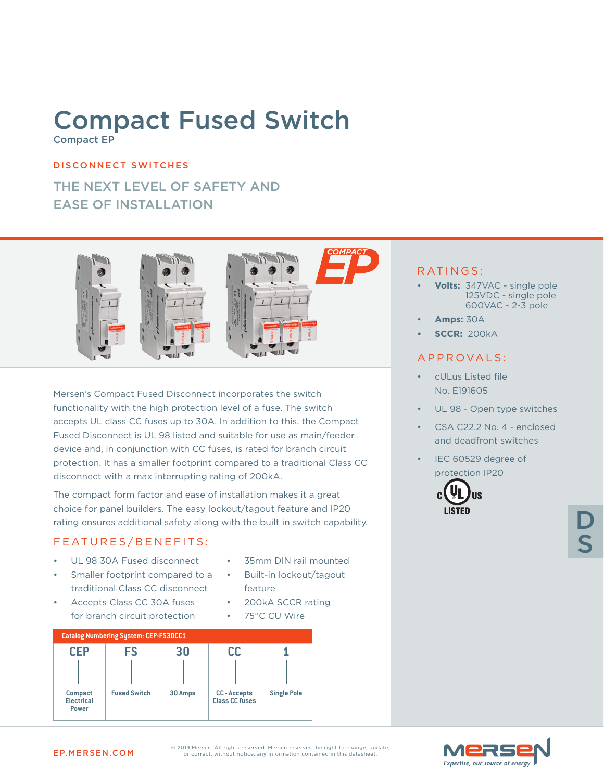## Compact Fused Switch Compact EP

#### DISCONNECT SWITCHES

### THE NEXT LEVEL OF SAFETY AND EASE OF INSTALLATION



Mersen's Compact Fused Disconnect incorporates the switch functionality with the high protection level of a fuse. The switch accepts UL class CC fuses up to 30A. In addition to this, the Compact Fused Disconnect is UL 98 listed and suitable for use as main/feeder device and, in conjunction with CC fuses, is rated for branch circuit protection. It has a smaller footprint compared to a traditional Class CC disconnect with a max interrupting rating of 200kA.

The compact form factor and ease of installation makes it a great choice for panel builders. The easy lockout/tagout feature and IP20 rating ensures additional safety along with the built in switch capability.

#### FEATURES/BENEFITS:

- UL 98 30A Fused disconnect
- Smaller footprint compared to a traditional Class CC disconnect
- 35mm DIN rail mounted

• 200kA SCCR rating

• Built-in lockout/tagout feature

• 75°C CU Wire

• Accepts Class CC 30A fuses for branch circuit protection



#### RATINGS:

- **Volts:** 347VAC single pole 125VDC - single pole 600VAC - 2-3 pole
- **Amps:** 30A
- **• SCCR:** 200kA

#### A P P R O V A L S :

- cULus Listed file No. E191605
- UL 98 Open type switches
- CSA C22.2 No. 4 enclosed and deadfront switches
- IEC 60529 degree of protection IP20